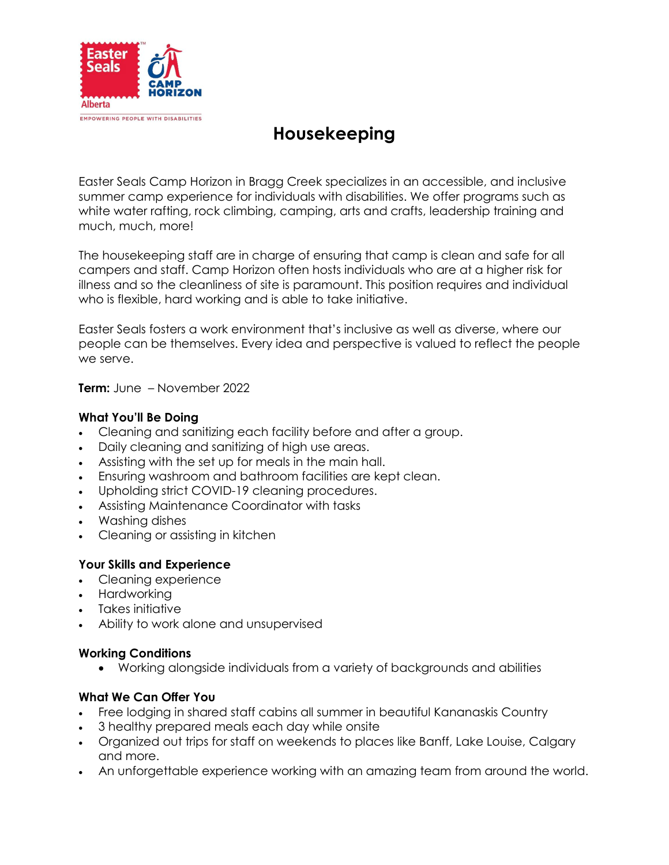

# **Housekeeping**

Easter Seals Camp Horizon in Bragg Creek specializes in an accessible, and inclusive summer camp experience for individuals with disabilities. We offer programs such as white water rafting, rock climbing, camping, arts and crafts, leadership training and much, much, more!

The housekeeping staff are in charge of ensuring that camp is clean and safe for all campers and staff. Camp Horizon often hosts individuals who are at a higher risk for illness and so the cleanliness of site is paramount. This position requires and individual who is flexible, hard working and is able to take initiative.

Easter Seals fosters a work environment that's inclusive as well as diverse, where our people can be themselves. Every idea and perspective is valued to reflect the people we serve.

**Term:** June – November 2022

#### **What You'll Be Doing**

- Cleaning and sanitizing each facility before and after a group.
- Daily cleaning and sanitizing of high use areas.
- Assisting with the set up for meals in the main hall.
- Ensuring washroom and bathroom facilities are kept clean.
- Upholding strict COVID-19 cleaning procedures.
- Assisting Maintenance Coordinator with tasks
- Washing dishes
- Cleaning or assisting in kitchen

### **Your Skills and Experience**

- Cleaning experience
- Hardworking
- Takes initiative
- Ability to work alone and unsupervised

#### **Working Conditions**

Working alongside individuals from a variety of backgrounds and abilities

## **What We Can Offer You**

- Free lodging in shared staff cabins all summer in beautiful Kananaskis Country
- 3 healthy prepared meals each day while onsite
- Organized out trips for staff on weekends to places like Banff, Lake Louise, Calgary and more.
- An unforgettable experience working with an amazing team from around the world.